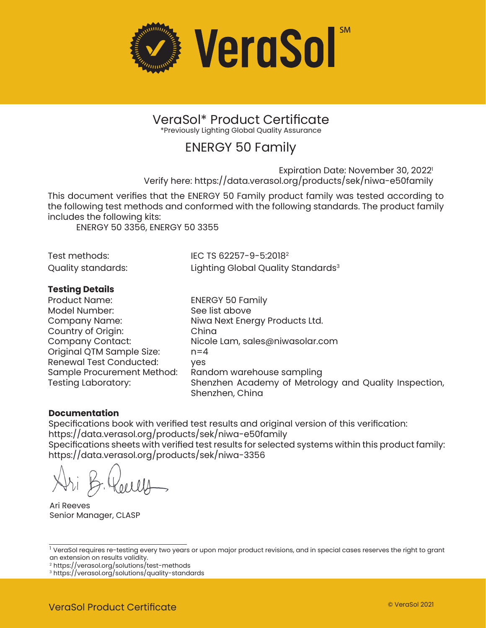

### VeraSol\* Product Certificate \*Previously Lighting Global Quality Assurance

## ENERGY 50 Family

Expiration Date: November 30, 2022<sup>1</sup> Verify here: https://data.verasol.org/products/sek/niwa-e50family

This document verifies that the ENERGY 50 Family product family was tested according to the following test methods and conformed with the following standards. The product family includes the following kits:

ENERGY 50 3356, ENERGY 50 3355

| Test methods:      | IEC TS 62257-9-5:2018 <sup>2</sup>             |
|--------------------|------------------------------------------------|
| Quality standards: | Lighting Global Quality Standards <sup>3</sup> |

### **Testing Details**

| <b>Product Name:</b>           | <b>ENERGY 50 Family</b>                                                  |
|--------------------------------|--------------------------------------------------------------------------|
| Model Number:                  | See list above                                                           |
| Company Name:                  | Niwa Next Energy Products Ltd.                                           |
| Country of Origin:             | China                                                                    |
| <b>Company Contact:</b>        | Nicole Lam, sales@niwasolar.com                                          |
| Original QTM Sample Size:      | $n = 4$                                                                  |
| <b>Renewal Test Conducted:</b> | ves                                                                      |
| Sample Procurement Method:     | Random warehouse sampling                                                |
| <b>Testing Laboratory:</b>     | Shenzhen Academy of Metrology and Quality Inspection,<br>Shenzhen, China |

### **Documentation**

Specifications book with verified test results and original version of this verification: https://data.verasol.org/products/sek/niwa-e50family

Specifications sheets with verified test results for selected systems within this product family: https://data.verasol.org/products/sek/niwa-3356

Ari Reeves Senior Manager, CLASP

<sup>2</sup> https://verasol.org/solutions<sup>/</sup>test-methods

<sup>&</sup>lt;sup>1</sup> VeraSol requires re-testing every two years or upon major product revisions, and in special cases reserves the right to grant an extension on results validity.

<sup>3</sup> https://verasol.org/solutions/quality-standards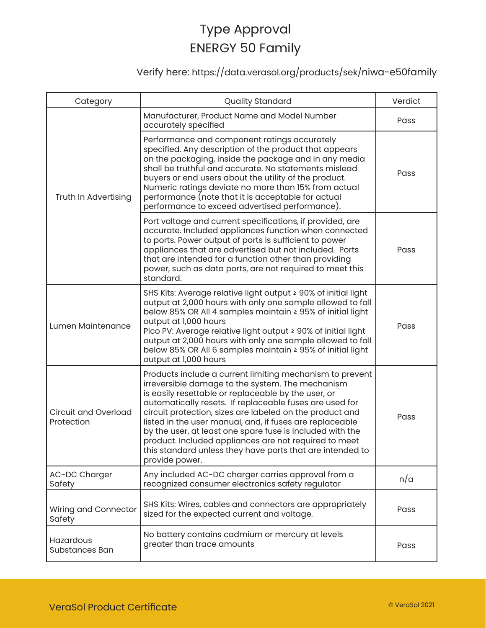## Verify here: https://data.verasol.org/products/sek/niwa-e50family

| Category                                  | <b>Quality Standard</b>                                                                                                                                                                                                                                                                                                                                                                                                                                                                                                                                     | Verdict |
|-------------------------------------------|-------------------------------------------------------------------------------------------------------------------------------------------------------------------------------------------------------------------------------------------------------------------------------------------------------------------------------------------------------------------------------------------------------------------------------------------------------------------------------------------------------------------------------------------------------------|---------|
| Truth In Advertising                      | Manufacturer, Product Name and Model Number<br>accurately specified                                                                                                                                                                                                                                                                                                                                                                                                                                                                                         | Pass    |
|                                           | Performance and component ratings accurately<br>specified. Any description of the product that appears<br>on the packaging, inside the package and in any media<br>shall be truthful and accurate. No statements mislead<br>buyers or end users about the utility of the product.<br>Numeric ratings deviate no more than 15% from actual<br>performance (note that it is acceptable for actual<br>performance to exceed advertised performance).                                                                                                           | Pass    |
|                                           | Port voltage and current specifications, if provided, are<br>accurate. Included appliances function when connected<br>to ports. Power output of ports is sufficient to power<br>appliances that are advertised but not included. Ports<br>that are intended for a function other than providing<br>power, such as data ports, are not required to meet this<br>standard.                                                                                                                                                                                    | Pass    |
| Lumen Maintenance                         | SHS Kits: Average relative light output ≥ 90% of initial light<br>output at 2,000 hours with only one sample allowed to fall<br>below 85% OR All 4 samples maintain ≥ 95% of initial light<br>output at 1,000 hours<br>Pico PV: Average relative light output ≥ 90% of initial light<br>output at 2,000 hours with only one sample allowed to fall<br>below 85% OR All 6 samples maintain ≥ 95% of initial light<br>output at 1,000 hours                                                                                                                   | Pass    |
| <b>Circuit and Overload</b><br>Protection | Products include a current limiting mechanism to prevent<br>irreversible damage to the system. The mechanism<br>is easily resettable or replaceable by the user, or<br>automatically resets. If replaceable fuses are used for<br>circuit protection, sizes are labeled on the product and<br>listed in the user manual, and, if fuses are replaceable<br>by the user, at least one spare fuse is included with the<br>product. Included appliances are not required to meet<br>this standard unless they have ports that are intended to<br>provide power. | Pass    |
| AC-DC Charger<br>Safety                   | Any included AC-DC charger carries approval from a<br>recognized consumer electronics safety regulator                                                                                                                                                                                                                                                                                                                                                                                                                                                      | n/a     |
| Wiring and Connector<br>Safety            | SHS Kits: Wires, cables and connectors are appropriately<br>sized for the expected current and voltage.                                                                                                                                                                                                                                                                                                                                                                                                                                                     | Pass    |
| Hazardous<br><b>Substances Ban</b>        | No battery contains cadmium or mercury at levels<br>greater than trace amounts                                                                                                                                                                                                                                                                                                                                                                                                                                                                              | Pass    |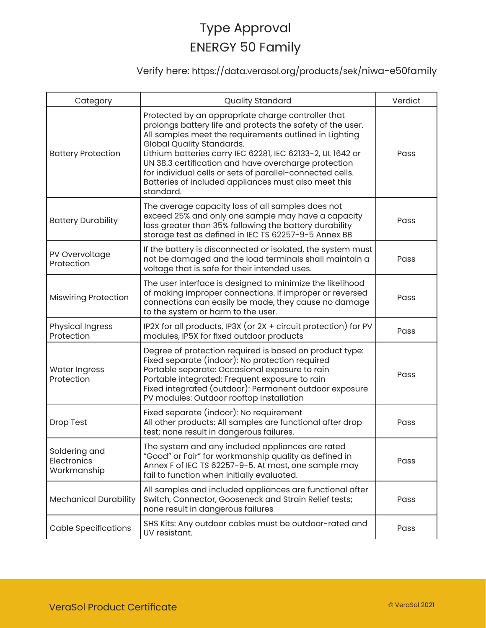## Verify here: https://data.verasol.org/products/sek/niwa-e50family

| Category                                    | <b>Quality Standard</b>                                                                                                                                                                                                                                                                                                                                                                                                                                         | Verdict |
|---------------------------------------------|-----------------------------------------------------------------------------------------------------------------------------------------------------------------------------------------------------------------------------------------------------------------------------------------------------------------------------------------------------------------------------------------------------------------------------------------------------------------|---------|
| <b>Battery Protection</b>                   | Protected by an appropriate charge controller that<br>prolongs battery life and protects the safety of the user.<br>All samples meet the requirements outlined in Lighting<br>Global Quality Standards.<br>Lithium batteries carry IEC 62281, IEC 62133-2, UL 1642 or<br>UN 38.3 certification and have overcharge protection<br>for individual cells or sets of parallel-connected cells.<br>Batteries of included appliances must also meet this<br>standard. | Pass    |
| <b>Battery Durability</b>                   | The average capacity loss of all samples does not<br>exceed 25% and only one sample may have a capacity<br>loss greater than 35% following the battery durability<br>storage test as defined in IEC TS 62257-9-5 Annex BB                                                                                                                                                                                                                                       | Pass    |
| PV Overvoltage<br>Protection                | If the battery is disconnected or isolated, the system must<br>not be damaged and the load terminals shall maintain a<br>voltage that is safe for their intended uses.                                                                                                                                                                                                                                                                                          | Pass    |
| <b>Miswiring Protection</b>                 | The user interface is designed to minimize the likelihood<br>of making improper connections. If improper or reversed<br>connections can easily be made, they cause no damage<br>to the system or harm to the user.                                                                                                                                                                                                                                              | Pass    |
| <b>Physical Ingress</b><br>Protection       | IP2X for all products, IP3X (or 2X + circuit protection) for PV<br>modules, IP5X for fixed outdoor products                                                                                                                                                                                                                                                                                                                                                     | Pass    |
| <b>Water Ingress</b><br>Protection          | Degree of protection required is based on product type:<br>Fixed separate (indoor): No protection required<br>Portable separate: Occasional exposure to rain<br>Portable integrated: Frequent exposure to rain<br>Fixed integrated (outdoor): Permanent outdoor exposure<br>PV modules: Outdoor rooftop installation                                                                                                                                            | Pass    |
| <b>Drop Test</b>                            | Fixed separate (indoor): No requirement<br>All other products: All samples are functional after drop<br>test; none result in dangerous failures.                                                                                                                                                                                                                                                                                                                | Pass    |
| Soldering and<br>Electronics<br>Workmanship | The system and any included appliances are rated<br>"Good" or Fair" for workmanship quality as defined in<br>Annex F of IEC TS 62257-9-5. At most, one sample may<br>fail to function when initially evaluated.                                                                                                                                                                                                                                                 | Pass    |
| <b>Mechanical Durability</b>                | All samples and included appliances are functional after<br>Switch, Connector, Gooseneck and Strain Relief tests;<br>none result in dangerous failures                                                                                                                                                                                                                                                                                                          | Pass    |
| <b>Cable Specifications</b>                 | SHS Kits: Any outdoor cables must be outdoor-rated and<br>UV resistant.                                                                                                                                                                                                                                                                                                                                                                                         | Pass    |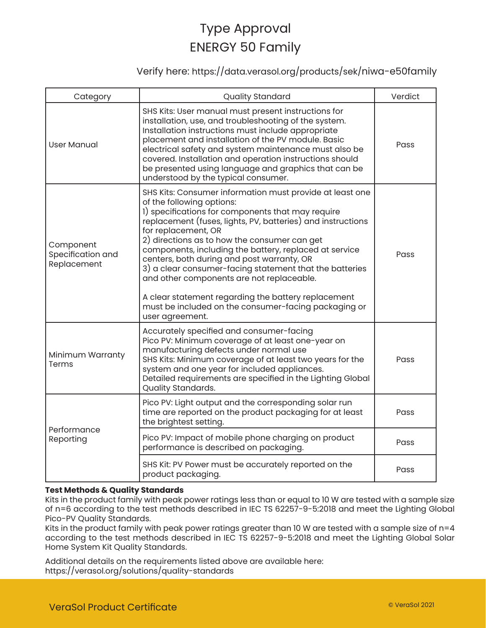### Verify here: https://data.verasol.org/products/sek/niwa-e50family

| Category                                      | <b>Quality Standard</b>                                                                                                                                                                                                                                                                                                                                                                                                                                                                                                                                                                                                            | Verdict |
|-----------------------------------------------|------------------------------------------------------------------------------------------------------------------------------------------------------------------------------------------------------------------------------------------------------------------------------------------------------------------------------------------------------------------------------------------------------------------------------------------------------------------------------------------------------------------------------------------------------------------------------------------------------------------------------------|---------|
| <b>User Manual</b>                            | SHS Kits: User manual must present instructions for<br>installation, use, and troubleshooting of the system.<br>Installation instructions must include appropriate<br>placement and installation of the PV module. Basic<br>electrical safety and system maintenance must also be<br>covered. Installation and operation instructions should<br>be presented using language and graphics that can be<br>understood by the typical consumer.                                                                                                                                                                                        | Pass    |
| Component<br>Specification and<br>Replacement | SHS Kits: Consumer information must provide at least one<br>of the following options:<br>1) specifications for components that may require<br>replacement (fuses, lights, PV, batteries) and instructions<br>for replacement, OR<br>2) directions as to how the consumer can get<br>components, including the battery, replaced at service<br>centers, both during and post warranty, OR<br>3) a clear consumer-facing statement that the batteries<br>and other components are not replaceable.<br>A clear statement regarding the battery replacement<br>must be included on the consumer-facing packaging or<br>user agreement. | Pass    |
| Minimum Warranty<br>Terms                     | Accurately specified and consumer-facing<br>Pico PV: Minimum coverage of at least one-year on<br>manufacturing defects under normal use<br>SHS Kits: Minimum coverage of at least two years for the<br>system and one year for included appliances.<br>Detailed requirements are specified in the Lighting Global<br>Quality Standards.                                                                                                                                                                                                                                                                                            | Pass    |
| Performance<br>Reporting                      | Pico PV: Light output and the corresponding solar run<br>time are reported on the product packaging for at least<br>the brightest setting.                                                                                                                                                                                                                                                                                                                                                                                                                                                                                         | Pass    |
|                                               | Pico PV: Impact of mobile phone charging on product<br>performance is described on packaging.                                                                                                                                                                                                                                                                                                                                                                                                                                                                                                                                      | Pass    |
|                                               | SHS Kit: PV Power must be accurately reported on the<br>product packaging.                                                                                                                                                                                                                                                                                                                                                                                                                                                                                                                                                         | Pass    |

#### **Test Methods & Quality Standards**

Kits in the product family with peak power ratings less than or equal to 10 W are tested with a sample size of n=6 according to the test methods described in IEC TS 62257-9-5:2018 and meet the Lighting Global Pico-PV Quality Standards.

Kits in the product family with peak power ratings greater than 10 W are tested with a sample size of n=4 according to the test methods described in IEC TS 62257-9-5:2018 and meet the Lighting Global Solar Home System Kit Quality Standards.

Additional details on the requirements listed above are available here: https://verasol.org/solutions/quality-standards